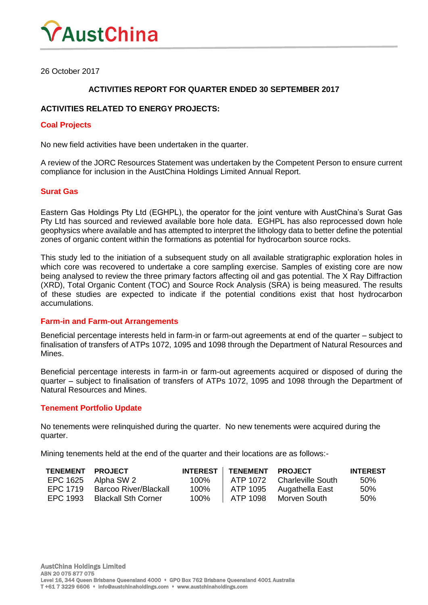

26 October 2017

## **ACTIVITIES REPORT FOR QUARTER ENDED 30 SEPTEMBER 2017**

## **ACTIVITIES RELATED TO ENERGY PROJECTS:**

#### **Coal Projects**

No new field activities have been undertaken in the quarter.

A review of the JORC Resources Statement was undertaken by the Competent Person to ensure current compliance for inclusion in the AustChina Holdings Limited Annual Report.

### **Surat Gas**

Eastern Gas Holdings Pty Ltd (EGHPL), the operator for the joint venture with AustChina's Surat Gas Pty Ltd has sourced and reviewed available bore hole data. EGHPL has also reprocessed down hole geophysics where available and has attempted to interpret the lithology data to better define the potential zones of organic content within the formations as potential for hydrocarbon source rocks.

This study led to the initiation of a subsequent study on all available stratigraphic exploration holes in which core was recovered to undertake a core sampling exercise. Samples of existing core are now being analysed to review the three primary factors affecting oil and gas potential. The X Ray Diffraction (XRD), Total Organic Content (TOC) and Source Rock Analysis (SRA) is being measured. The results of these studies are expected to indicate if the potential conditions exist that host hydrocarbon accumulations.

#### **Farm-in and Farm-out Arrangements**

Beneficial percentage interests held in farm-in or farm-out agreements at end of the quarter – subject to finalisation of transfers of ATPs 1072, 1095 and 1098 through the Department of Natural Resources and Mines.

Beneficial percentage interests in farm-in or farm-out agreements acquired or disposed of during the quarter – subject to finalisation of transfers of ATPs 1072, 1095 and 1098 through the Department of Natural Resources and Mines.

#### **Tenement Portfolio Update**

No tenements were relinquished during the quarter. No new tenements were acquired during the quarter.

Mining tenements held at the end of the quarter and their locations are as follows:-

| <b>TENEMENT</b> | <b>PROJECT</b>             | <b>INTEREST  </b> | <b>TENEMENT</b> | <b>PROJECT</b>    | <b>INTEREST</b> |
|-----------------|----------------------------|-------------------|-----------------|-------------------|-----------------|
| EPC 1625        | Alpha SW 2                 | 100%              | ATP 1072        | Charleville South | .50%            |
| FPC 1719        | Barcoo River/Blackall      | 100%              | ATP 1095        | Augathella East   | 50%             |
| FPC 1993        | <b>Blackall Sth Corner</b> | 100%              | ATP 1098        | Morven South      | .50%            |